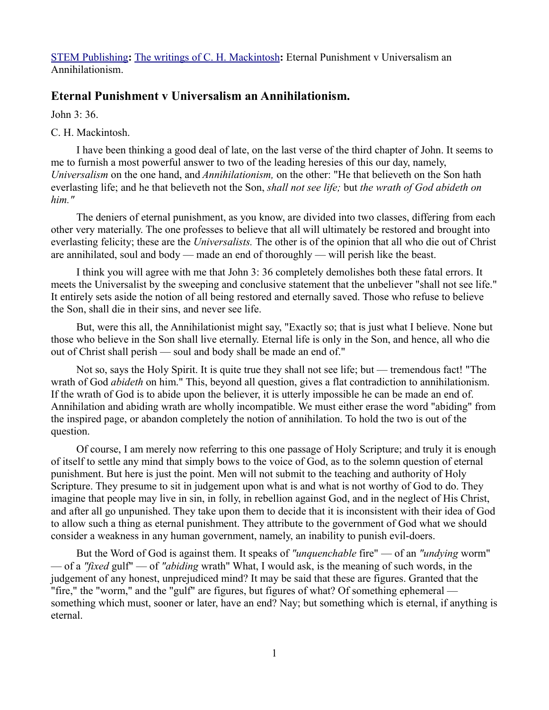[STEM Publishing](http://www.stempublishing.com/)**:** [The writings of C. H. Mackintosh](http://www.stempublishing.com/authors/mackintosh/index.html)**:** Eternal Punishment v Universalism an Annihilationism.

## **Eternal Punishment v Universalism an Annihilationism.**

John 3: 36.

## C. H. Mackintosh.

I have been thinking a good deal of late, on the last verse of the third chapter of John. It seems to me to furnish a most powerful answer to two of the leading heresies of this our day, namely, *Universalism* on the one hand, and *Annihilationism,* on the other: "He that believeth on the Son hath everlasting life; and he that believeth not the Son, *shall not see life;* but *the wrath of God abideth on him."*

The deniers of eternal punishment, as you know, are divided into two classes, differing from each other very materially. The one professes to believe that all will ultimately be restored and brought into everlasting felicity; these are the *Universalists.* The other is of the opinion that all who die out of Christ are annihilated, soul and body — made an end of thoroughly — will perish like the beast.

I think you will agree with me that John 3: 36 completely demolishes both these fatal errors. It meets the Universalist by the sweeping and conclusive statement that the unbeliever "shall not see life." It entirely sets aside the notion of all being restored and eternally saved. Those who refuse to believe the Son, shall die in their sins, and never see life.

But, were this all, the Annihilationist might say, "Exactly so; that is just what I believe. None but those who believe in the Son shall live eternally. Eternal life is only in the Son, and hence, all who die out of Christ shall perish — soul and body shall be made an end of."

Not so, says the Holy Spirit. It is quite true they shall not see life; but — tremendous fact! "The wrath of God *abideth* on him." This, beyond all question, gives a flat contradiction to annihilationism. If the wrath of God is to abide upon the believer, it is utterly impossible he can be made an end of. Annihilation and abiding wrath are wholly incompatible. We must either erase the word "abiding" from the inspired page, or abandon completely the notion of annihilation. To hold the two is out of the question.

Of course, I am merely now referring to this one passage of Holy Scripture; and truly it is enough of itself to settle any mind that simply bows to the voice of God, as to the solemn question of eternal punishment. But here is just the point. Men will not submit to the teaching and authority of Holy Scripture. They presume to sit in judgement upon what is and what is not worthy of God to do. They imagine that people may live in sin, in folly, in rebellion against God, and in the neglect of His Christ, and after all go unpunished. They take upon them to decide that it is inconsistent with their idea of God to allow such a thing as eternal punishment. They attribute to the government of God what we should consider a weakness in any human government, namely, an inability to punish evil-doers.

But the Word of God is against them. It speaks of *"unquenchable* fire" — of an *"undying* worm" — of a *"fixed* gulf" — of *"abiding* wrath" What, I would ask, is the meaning of such words, in the judgement of any honest, unprejudiced mind? It may be said that these are figures. Granted that the "fire," the "worm," and the "gulf" are figures, but figures of what? Of something ephemeral something which must, sooner or later, have an end? Nay; but something which is eternal, if anything is eternal.